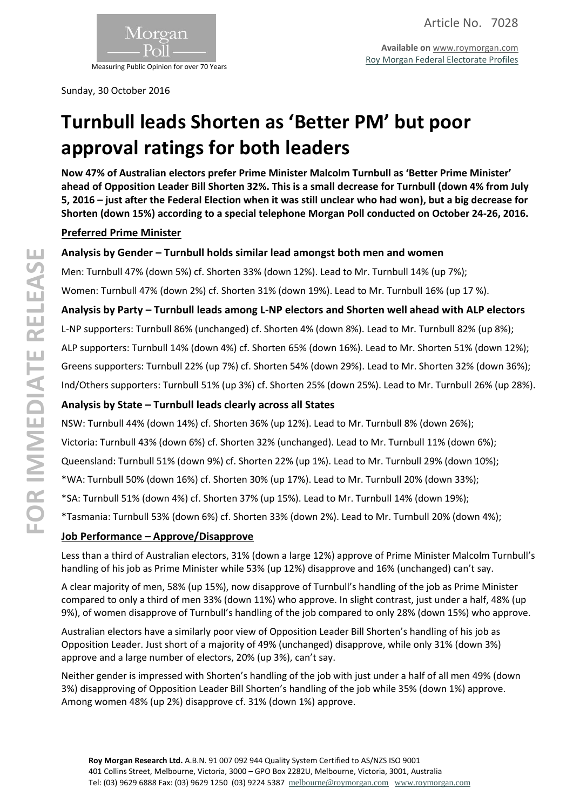

Measuring Public Opinion for over 70 Years

Sunday, 30 October 2016

# **Turnbull leads Shorten as 'Better PM' but poor approval ratings for both leaders**

**Now 47% of Australian electors prefer Prime Minister Malcolm Turnbull as 'Better Prime Minister' ahead of Opposition Leader Bill Shorten 32%. This is a small decrease for Turnbull (down 4% from July 5, 2016 – just after the Federal Election when it was still unclear who had won), but a big decrease for Shorten (down 15%) according to a special telephone Morgan Poll conducted on October 24-26, 2016.**

## **Preferred Prime Minister**

## **Analysis by Gender – Turnbull holds similar lead amongst both men and women**

Men: Turnbull 47% (down 5%) cf. Shorten 33% (down 12%). Lead to Mr. Turnbull 14% (up 7%);

Women: Turnbull 47% (down 2%) cf. Shorten 31% (down 19%). Lead to Mr. Turnbull 16% (up 17 %).

### **Analysis by Party – Turnbull leads among L-NP electors and Shorten well ahead with ALP electors**

L-NP supporters: Turnbull 86% (unchanged) cf. Shorten 4% (down 8%). Lead to Mr. Turnbull 82% (up 8%); ALP supporters: Turnbull 14% (down 4%) cf. Shorten 65% (down 16%). Lead to Mr. Shorten 51% (down 12%); Greens supporters: Turnbull 22% (up 7%) cf. Shorten 54% (down 29%). Lead to Mr. Shorten 32% (down 36%); Ind/Others supporters: Turnbull 51% (up 3%) cf. Shorten 25% (down 25%). Lead to Mr. Turnbull 26% (up 28%).

## **Analysis by State – Turnbull leads clearly across all States**

NSW: Turnbull 44% (down 14%) cf. Shorten 36% (up 12%). Lead to Mr. Turnbull 8% (down 26%);

Victoria: Turnbull 43% (down 6%) cf. Shorten 32% (unchanged). Lead to Mr. Turnbull 11% (down 6%);

Queensland: Turnbull 51% (down 9%) cf. Shorten 22% (up 1%). Lead to Mr. Turnbull 29% (down 10%);

\*WA: Turnbull 50% (down 16%) cf. Shorten 30% (up 17%). Lead to Mr. Turnbull 20% (down 33%);

\*SA: Turnbull 51% (down 4%) cf. Shorten 37% (up 15%). Lead to Mr. Turnbull 14% (down 19%);

\*Tasmania: Turnbull 53% (down 6%) cf. Shorten 33% (down 2%). Lead to Mr. Turnbull 20% (down 4%);

## **Job Performance – Approve/Disapprove**

Less than a third of Australian electors, 31% (down a large 12%) approve of Prime Minister Malcolm Turnbull's handling of his job as Prime Minister while 53% (up 12%) disapprove and 16% (unchanged) can't say.

A clear majority of men, 58% (up 15%), now disapprove of Turnbull's handling of the job as Prime Minister compared to only a third of men 33% (down 11%) who approve. In slight contrast, just under a half, 48% (up 9%), of women disapprove of Turnbull's handling of the job compared to only 28% (down 15%) who approve.

Australian electors have a similarly poor view of Opposition Leader Bill Shorten's handling of his job as Opposition Leader. Just short of a majority of 49% (unchanged) disapprove, while only 31% (down 3%) approve and a large number of electors, 20% (up 3%), can't say.

Neither gender is impressed with Shorten's handling of the job with just under a half of all men 49% (down 3%) disapproving of Opposition Leader Bill Shorten's handling of the job while 35% (down 1%) approve. Among women 48% (up 2%) disapprove cf. 31% (down 1%) approve.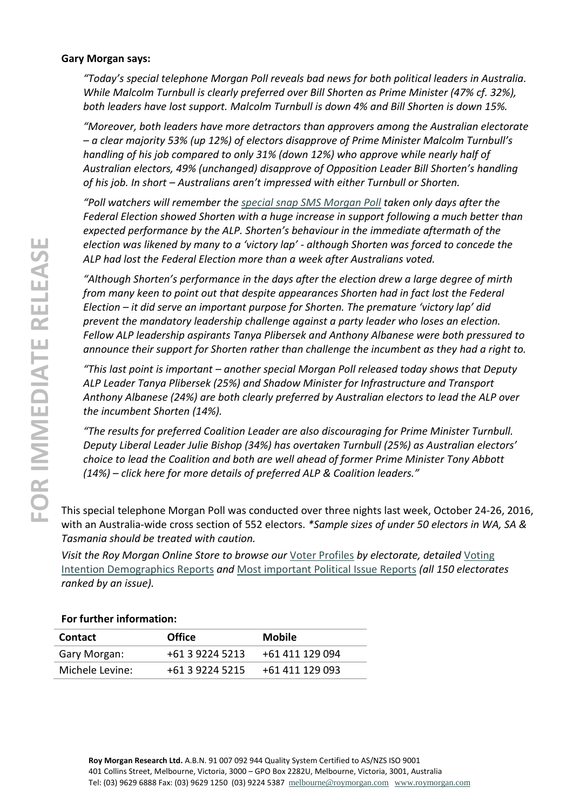#### **Gary Morgan says:**

*"Today's special telephone Morgan Poll reveals bad news for both political leaders in Australia. While Malcolm Turnbull is clearly preferred over Bill Shorten as Prime Minister (47% cf. 32%), both leaders have lost support. Malcolm Turnbull is down 4% and Bill Shorten is down 15%.*

*"Moreover, both leaders have more detractors than approvers among the Australian electorate – a clear majority 53% (up 12%) of electors disapprove of Prime Minister Malcolm Turnbull's handling of his job compared to only 31% (down 12%) who approve while nearly half of Australian electors, 49% (unchanged) disapprove of Opposition Leader Bill Shorten's handling of his job. In short – Australians aren't impressed with either Turnbull or Shorten.*

*"Poll watchers will remember th[e special snap SMS Morgan Poll](http://www.roymorgan.com/findings/6888-turnbull-ahead-shorten-better-pm-no-way-back-for-former-pm-tony-abbott-201607051743) taken only days after the Federal Election showed Shorten with a huge increase in support following a much better than expected performance by the ALP. Shorten's behaviour in the immediate aftermath of the election was likened by many to a 'victory lap' - although Shorten was forced to concede the ALP had lost the Federal Election more than a week after Australians voted.*

*"Although Shorten's performance in the days after the election drew a large degree of mirth from many keen to point out that despite appearances Shorten had in fact lost the Federal Election – it did serve an important purpose for Shorten. The premature 'victory lap' did prevent the mandatory leadership challenge against a party leader who loses an election. Fellow ALP leadership aspirants Tanya Plibersek and Anthony Albanese were both pressured to announce their support for Shorten rather than challenge the incumbent as they had a right to.*

*"This last point is important – another special Morgan Poll released today shows that Deputy ALP Leader Tanya Plibersek (25%) and Shadow Minister for Infrastructure and Transport Anthony Albanese (24%) are both clearly preferred by Australian electors to lead the ALP over the incumbent Shorten (14%).*

*"The results for preferred Coalition Leader are also discouraging for Prime Minister Turnbull. Deputy Liberal Leader Julie Bishop (34%) has overtaken Turnbull (25%) as Australian electors' choice to lead the Coalition and both are well ahead of former Prime Minister Tony Abbott (14%) – click here for more details of preferred ALP & Coalition leaders."*

This special telephone Morgan Poll was conducted over three nights last week, October 24-26, 2016, with an Australia-wide cross section of 552 electors. *\*Sample sizes of under 50 electors in WA, SA & Tasmania should be treated with caution.*

*Visit the Roy Morgan Online Store to browse our* [Voter Profiles](http://www.roymorganonlinestore.com/Browse/Australia/Economic,-Political-and-Social/Federal-Electorates.aspx) *by electorate, detailed* [Voting](http://www.roymorganonlinestore.com/Browse/Australia/Economic,-Political-and-Social/Federal-Voting-Intention-Reports.aspx)  [Intention Demographics Reports](http://www.roymorganonlinestore.com/Browse/Australia/Economic,-Political-and-Social/Federal-Voting-Intention-Reports.aspx) *and* [Most important Political Issue Reports](http://www.roymorganonlinestore.com/Browse/Australia/Economic,-Political-and-Social/Most-Important-Political-Issue-Reports.aspx) *(all 150 electorates ranked by an issue).*

#### **For further information:**

| <b>Contact</b>  | <b>Office</b>   | <b>Mobile</b>   |
|-----------------|-----------------|-----------------|
| Gary Morgan:    | +61 3 9224 5213 | +61 411 129 094 |
| Michele Levine: | +61 3 9224 5215 | +61 411 129 093 |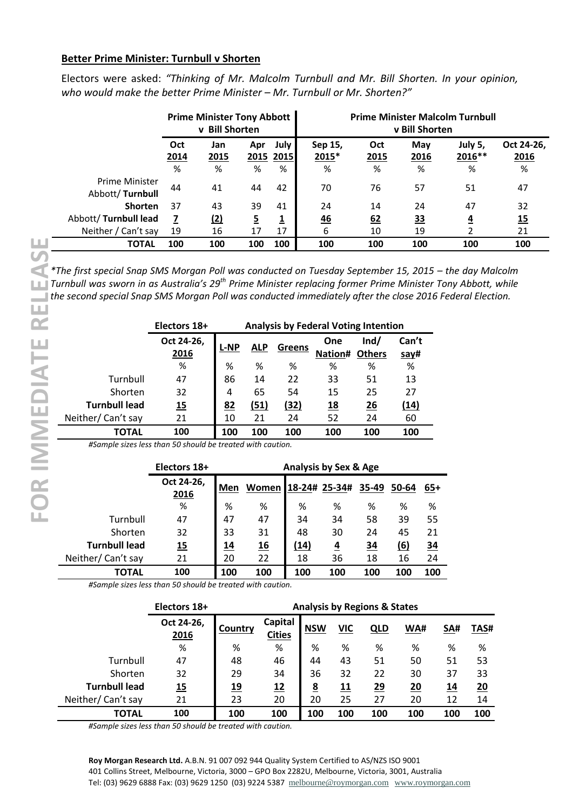#### **Better Prime Minister: Turnbull v Shorten**

Electors were asked: *"Thinking of Mr. Malcolm Turnbull and Mr. Bill Shorten. In your opinion, who would make the better Prime Minister – Mr. Turnbull or Mr. Shorten?"*

|                                          | <b>Prime Minister Tony Abbott</b><br>v Bill Shorten |                  |                |                          | <b>Prime Minister Malcolm Turnbull</b><br>v Bill Shorten |                  |                  |                         |                         |
|------------------------------------------|-----------------------------------------------------|------------------|----------------|--------------------------|----------------------------------------------------------|------------------|------------------|-------------------------|-------------------------|
|                                          | Oct<br>2014<br>%                                    | Jan<br>2015<br>% | Apr<br>%       | July  <br>2015 2015<br>% | Sep 15,<br>$2015*$<br>%                                  | Oct<br>2015<br>% | May<br>2016<br>% | July 5,<br>2016 **<br>% | Oct 24-26,<br>2016<br>% |
| <b>Prime Minister</b><br>Abbott/Turnbull | 44                                                  | 41               | 44             | 42                       | 70                                                       | 76               | 57               | 51                      | 47                      |
| <b>Shorten</b>                           | 37                                                  | 43               | 39             | 41                       | 24                                                       | 14               | 24               | 47                      | 32                      |
| Abbott/Turnbull lead                     | 7                                                   | <u>(2)</u>       | $\overline{5}$ | $\overline{\mathbf{1}}$  | $\frac{46}{1}$                                           | 62               | <u>33</u>        | $\overline{4}$          | 15                      |
| Neither / Can't say                      | 19                                                  | 16               | 17             | 17                       | 6                                                        | 10               | 19               | 2                       | 21                      |
| <b>TOTAL</b>                             | 100                                                 | 100              | 100            | 100                      | 100                                                      | 100              | 100              | 100                     | 100                     |

*\*The first special Snap SMS Morgan Poll was conducted on Tuesday September 15, 2015 – the day Malcolm Turnbull was sworn in as Australia's 29th Prime Minister replacing former Prime Minister Tony Abbott, while the second special Snap SMS Morgan Poll was conducted immediately after the close 2016 Federal Election.*

|                      | <b>Analysis by Federal Voting Intention</b><br>Electors 18+ |           |            |        |                       |      |       |  |  |
|----------------------|-------------------------------------------------------------|-----------|------------|--------|-----------------------|------|-------|--|--|
|                      | Oct 24-26,                                                  | L-NP      | <b>ALP</b> | Greens | One                   | Ind/ | Can't |  |  |
|                      | 2016                                                        |           |            |        | <b>Nation# Others</b> |      | say#  |  |  |
|                      | %                                                           | %         | %          | %      | %                     | %    | %     |  |  |
| Turnbull             | 47                                                          | 86        | 14         | 22     | 33                    | 51   | 13    |  |  |
| Shorten              | 32                                                          | 4         | 65         | 54     | 15                    | 25   | 27    |  |  |
| <b>Turnbull lead</b> | <u>15</u>                                                   | <u>82</u> | (51)       | (32)   | <u>18</u>             | 26   | (14)  |  |  |
| Neither/Can't say    | 21                                                          | 10        | 21         | 24     | 52                    | 24   | 60    |  |  |
| TOTAL                | 100                                                         | 100       | 100        | 100    | 100                   | 100  | 100   |  |  |

*#Sample sizes less than 50 should be treated with caution.*

|                      | Electors 18+ | <b>Analysis by Sex &amp; Age</b> |                     |      |                |           |            |           |
|----------------------|--------------|----------------------------------|---------------------|------|----------------|-----------|------------|-----------|
|                      | Oct 24-26,   | Men                              | Women 18-24# 25-34# |      |                | 35-49     | 50-64      | $65+$     |
|                      | 2016         |                                  |                     |      |                |           |            |           |
|                      | %            | %                                | %                   | %    | %              | ℅         | %          | %         |
| Turnbull             | 47           | 47                               | 47                  | 34   | 34             | 58        | 39         | 55        |
| Shorten              | 32           | 33                               | 31                  | 48   | 30             | 24        | 45         | 21        |
| <b>Turnbull lead</b> | 15           | <u> 14</u>                       | $\underline{16}$    | (14) | $\overline{4}$ | <u>34</u> | <u>(6)</u> | <u>34</u> |
| Neither/Can't say    | 21           | 20                               | 22                  | 18   | 36             | 18        | 16         | 24        |
| ΤΟΤΑL                | 100          | 100                              | 100                 | 100  | 100            | 100       | 100        | 100       |

*#Sample sizes less than 50 should be treated with caution.*

|                      | Electors 18+       | <b>Analysis by Regions &amp; States</b> |                                 |                 |     |            |     |            |      |
|----------------------|--------------------|-----------------------------------------|---------------------------------|-----------------|-----|------------|-----|------------|------|
|                      | Oct 24-26,<br>2016 | Country                                 | <b>Capital</b><br><b>Cities</b> | <b>NSW</b>      | VIC | <u>QLD</u> | WA# | SA#        | TAS# |
|                      | %                  | %                                       | %                               | %               | %   | %          | %   | %          | %    |
| Turnbull             | 47                 | 48                                      | 46                              | 44              | 43  | 51         | 50  | 51         | 53   |
| Shorten              | 32                 | 29                                      | 34                              | 36              | 32  | 22         | 30  | 37         | 33   |
| <b>Turnbull lead</b> | <u>15</u>          | <u>19</u>                               | <u>12</u>                       | $\underline{8}$ | 11  | 29         | 20  | <u> 14</u> | 20   |
| Neither/Can't say    | 21                 | 23                                      | 20                              | 20              | 25  | 27         | 20  | 12         | 14   |
| <b>TOTAL</b>         | 100                | 100                                     | 100                             | 100             | 100 | 100        | 100 | 100        | 100  |

*#Sample sizes less than 50 should be treated with caution.*

**Roy Morgan Research Ltd.** A.B.N. 91 007 092 944 Quality System Certified to AS/NZS ISO 9001 401 Collins Street, Melbourne, Victoria, 3000 – GPO Box 2282U, Melbourne, Victoria, 3001, Australia Tel: (03) 9629 6888 Fax: (03) 9629 1250 (03) 9224 5387 [melbourne@roymorgan.com](mailto:melbourne@roymorgan.com) [www.roymorgan.com](http://www.roymorgan.com/)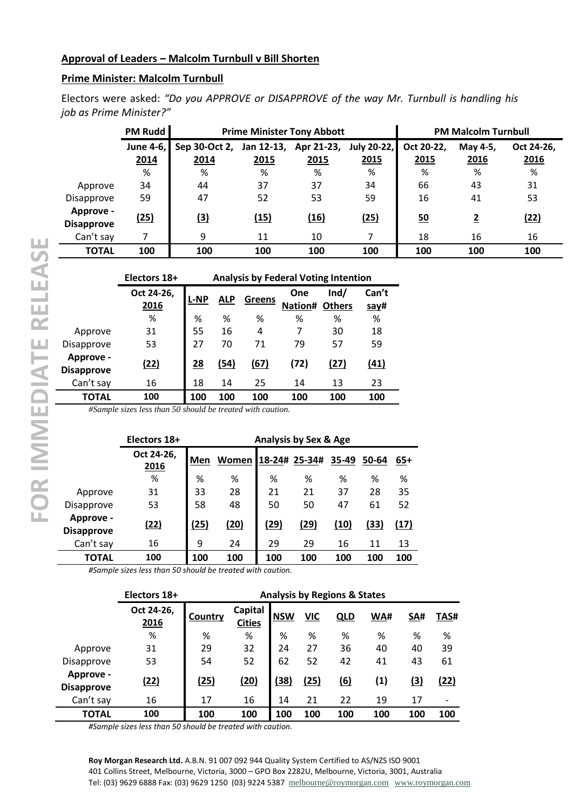## **Prime Minister: Malcolm Turnbull**

Electors were asked: *"Do you APPROVE or DISAPPROVE of the way Mr. Turnbull is handling his job as Prime Minister?"*

|                                | <b>PM Rudd</b> |                                                          |      | <b>Prime Minister Tony Abbott</b> |      | <b>PM Malcolm Turnbull</b> |                |            |  |
|--------------------------------|----------------|----------------------------------------------------------|------|-----------------------------------|------|----------------------------|----------------|------------|--|
|                                | June 4-6,      | Sep 30-Oct 2,<br>July 20-22,<br>Jan 12-13,<br>Apr 21-23, |      |                                   |      | Oct 20-22,                 | May 4-5,       | Oct 24-26, |  |
|                                | 2014           | 2014                                                     | 2015 | 2015                              | 2015 | 2015                       | 2016           | 2016       |  |
|                                | %              | %                                                        | %    | %                                 | %    | %                          | %              | %          |  |
| Approve                        | 34             | 44                                                       | 37   | 37                                | 34   | 66                         | 43             | 31         |  |
| Disapprove                     | 59             | 47                                                       | 52   | 53                                | 59   | 16                         | 41             | 53         |  |
| Approve -<br><b>Disapprove</b> | (25)           | $\overline{(3)}$                                         | (15) | (16)                              | (25) | 50                         | $\overline{2}$ | (22)       |  |
| Can't say                      | 7              | 9                                                        | 11   | 10                                | 7    | 18                         | 16             | 16         |  |
| <b>TOTAL</b>                   | 100            | 100                                                      | 100  | 100                               | 100  | 100                        | 100            | 100        |  |

|                                | Electors 18+                                                    | <b>Analysis by Federal Voting Intention</b> |            |        |                |                       |               |  |  |  |
|--------------------------------|-----------------------------------------------------------------|---------------------------------------------|------------|--------|----------------|-----------------------|---------------|--|--|--|
|                                | Oct 24-26,<br>2016                                              | <b>L-NP</b>                                 | <b>ALP</b> | Greens | One<br>Nation# | Ind/<br><b>Others</b> | Can't<br>say# |  |  |  |
|                                | %                                                               | %                                           | %          | %      | %              | %                     | %             |  |  |  |
| Approve                        | 31                                                              | 55                                          | 16         | 4      | 7              | 30                    | 18            |  |  |  |
| Disapprove                     | 53                                                              | 27                                          | 70         | 71     | 79             | 57                    | 59            |  |  |  |
| Approve -<br><b>Disapprove</b> | (22)                                                            | 28                                          | (54)       | (67)   | (72)           | (27)                  | (41)          |  |  |  |
| Can't say                      | 16                                                              | 18                                          | 14         | 25     | 14             | 13                    | 23            |  |  |  |
| <b>TOTAL</b>                   | 100                                                             | 100                                         | 100        | 100    | 100            | 100                   | 100           |  |  |  |
|                                | $\#$ Cample sizes less than 50 should be treated with equipment |                                             |            |        |                |                       |               |  |  |  |

*#Sample sizes less than 50 should be treated with caution.*

|                                | Electors 18+       | <b>Analysis by Sex &amp; Age</b> |             |               |      |       |       |       |  |  |
|--------------------------------|--------------------|----------------------------------|-------------|---------------|------|-------|-------|-------|--|--|
|                                | Oct 24-26,<br>2016 | Men                              | Women I     | 18-24# 25-34# |      | 35-49 | 50-64 | $65+$ |  |  |
|                                | %                  | %                                | %           | %             | %    | %     | %     | %     |  |  |
| Approve                        | 31                 | 33                               | 28          | 21            | 21   | 37    | 28    | 35    |  |  |
| Disapprove                     | 53                 | 58                               | 48          | 50            | 50   | 47    | 61    | 52    |  |  |
| Approve -<br><b>Disapprove</b> | (22)               | (25)                             | <u>(20)</u> | (29)          | (29) | (10)  | (33)  | (17)  |  |  |
| Can't say                      | 16                 | 9                                | 24          | 29            | 29   | 16    | 11    | 13    |  |  |
| TOTAL                          | 100                | 100                              | 100         | 100           | 100  | 100   | 100   | 100   |  |  |

*#Sample sizes less than 50 should be treated with caution.*

|                                | Electors 18+       | <b>Analysis by Regions &amp; States</b> |                          |            |            |            |     |            |      |
|--------------------------------|--------------------|-----------------------------------------|--------------------------|------------|------------|------------|-----|------------|------|
|                                | Oct 24-26,<br>2016 | Country                                 | Capital<br><b>Cities</b> | <b>NSW</b> | <b>VIC</b> | <u>QLD</u> | WA# | SA#        | TAS# |
|                                | %                  | %                                       | %                        | %          | %          | %          | %   | %          | %    |
| Approve                        | 31                 | 29                                      | 32                       | 24         | 27         | 36         | 40  | 40         | 39   |
| Disapprove                     | 53                 | 54                                      | 52                       | 62         | 52         | 42         | 41  | 43         | 61   |
| Approve -<br><b>Disapprove</b> | (22)               | (25)                                    | <u>(20)</u>              | (38)       | (25)       | <u>(6)</u> | (1) | <u>(3)</u> | (22) |
| Can't say                      | 16                 | 17                                      | 16                       | 14         | 21         | 22         | 19  | 17         |      |
| TOTAL                          | 100                | 100                                     | 100                      | 100        | 100        | 100        | 100 | 100        | 100  |

*#Sample sizes less than 50 should be treated with caution.*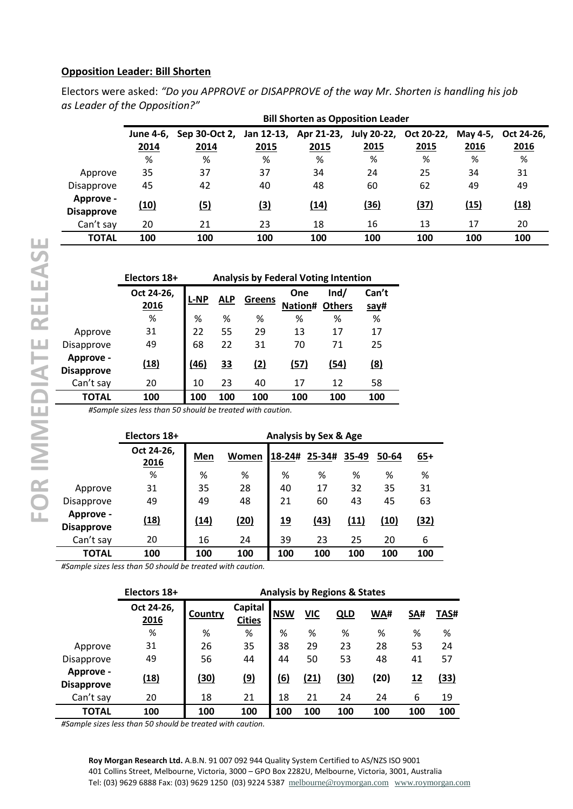## **Opposition Leader: Bill Shorten**

Electors were asked: *"Do you APPROVE or DISAPPROVE of the way Mr. Shorten is handling his job as Leader of the Opposition?"*

|                                | <b>Bill Shorten as Opposition Leader</b> |                                     |            |      |                        |      |          |            |  |  |  |  |
|--------------------------------|------------------------------------------|-------------------------------------|------------|------|------------------------|------|----------|------------|--|--|--|--|
|                                | June 4-6.                                | Sep 30-Oct 2, Jan 12-13, Apr 21-23, |            |      | July 20-22, Oct 20-22, |      | May 4-5, | Oct 24-26, |  |  |  |  |
|                                | 2014                                     | 2014                                | 2015       | 2015 | 2015                   | 2015 | 2016     | 2016       |  |  |  |  |
|                                | %                                        | %                                   | %          | %    | %                      | %    | %        | %          |  |  |  |  |
| Approve                        | 35                                       | 37                                  | 37         | 34   | 24                     | 25   | 34       | 31         |  |  |  |  |
| <b>Disapprove</b>              | 45                                       | 42                                  | 40         | 48   | 60                     | 62   | 49       | 49         |  |  |  |  |
| Approve -<br><b>Disapprove</b> | (10)                                     | (5)                                 | <u>(3)</u> | (14) | (36)                   | (37) | (15)     | (18)       |  |  |  |  |
| Can't say                      | 20                                       | 21                                  | 23         | 18   | 16                     | 13   | 17       | 20         |  |  |  |  |
| <b>TOTAL</b>                   | 100                                      | 100                                 | 100        | 100  | 100                    | 100  | 100      | 100        |  |  |  |  |

|                                | Electors 18+        | <b>Analysis by Federal Voting Intention</b> |            |               |                |                       |               |  |  |  |
|--------------------------------|---------------------|---------------------------------------------|------------|---------------|----------------|-----------------------|---------------|--|--|--|
|                                | Oct 24-26,<br>2016  | <b>L-NP</b>                                 | <b>ALP</b> | <b>Greens</b> | One<br>Nation# | Ind/<br><b>Others</b> | Can't<br>say# |  |  |  |
|                                | %                   | %                                           | %          | ℅             | %              | ℅                     | %             |  |  |  |
| Approve                        | 31                  | 22                                          | 55         | 29            | 13             | 17                    | 17            |  |  |  |
| Disapprove                     | 49                  | 68                                          | 22         | 31            | 70             | 71                    | 25            |  |  |  |
| Approve -<br><b>Disapprove</b> | (18)                | (46)                                        | <u>33</u>  | (2)           | (57)           | (54)                  | (8)           |  |  |  |
| Can't say                      | 20                  | 10                                          | 23         | 40            | 17             | 12                    | 58            |  |  |  |
| <b>TOTAL</b>                   | 100                 | 100                                         | 100        | 100           | 100            | 100                   | 100           |  |  |  |
|                                | .<br>$\sim$<br>-- - | .                                           |            |               |                |                       |               |  |  |  |

*#Sample sizes less than 50 should be treated with caution.*

|                                | Electors 18+       | <b>Analysis by Sex &amp; Age</b> |             |            |        |       |       |       |  |
|--------------------------------|--------------------|----------------------------------|-------------|------------|--------|-------|-------|-------|--|
|                                | Oct 24-26,<br>2016 | Men                              | Women       | 18-24#     | 25-34# | 35-49 | 50-64 | $65+$ |  |
|                                | %                  | %                                | %           | %          | %      | %     | %     | %     |  |
| Approve                        | 31                 | 35                               | 28          | 40         | 17     | 32    | 35    | 31    |  |
| Disapprove                     | 49                 | 49                               | 48          | 21         | 60     | 43    | 45    | 63    |  |
| Approve -<br><b>Disapprove</b> | (18)               | <u>(14)</u>                      | <u>(20)</u> | <u> 19</u> | (43)   | (11)  | (10)  | (32)  |  |
| Can't say                      | 20                 | 16                               | 24          | 39         | 23     | 25    | 20    | 6     |  |
| TOTAL                          | 100                | 100                              | 100         | 100        | 100    | 100   | 100   | 100   |  |

*#Sample sizes less than 50 should be treated with caution.*

|                                | Electors 18+       | <b>Analysis by Regions &amp; States</b> |                          |            |            |            |      |           |      |
|--------------------------------|--------------------|-----------------------------------------|--------------------------|------------|------------|------------|------|-----------|------|
|                                | Oct 24-26,<br>2016 | Country                                 | Capital<br><b>Cities</b> | <b>NSW</b> | <b>VIC</b> | <u>QLD</u> | WA#  | SA#       | TAS# |
|                                | %                  | %                                       | %                        | %          | %          | %          | %    | %         | %    |
| Approve                        | 31                 | 26                                      | 35                       | 38         | 29         | 23         | 28   | 53        | 24   |
| Disapprove                     | 49                 | 56                                      | 44                       | 44         | 50         | 53         | 48   | 41        | 57   |
| Approve -<br><b>Disapprove</b> | (18)               | (30)                                    | <u>(9)</u>               | (6)        | (21)       | (30)       | (20) | <u>12</u> | (33) |
| Can't say                      | 20                 | 18                                      | 21                       | 18         | 21         | 24         | 24   | 6         | 19   |
| TOTAL                          | 100                | 100                                     | 100                      | 100        | 100        | 100        | 100  | 100       | 100  |

*#Sample sizes less than 50 should be treated with caution.*